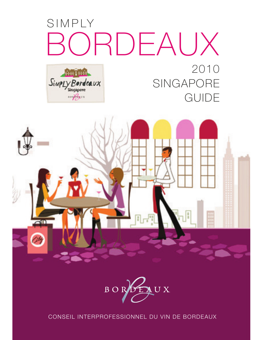# SIMPLY ORDEAUX 2010 SimpLy Bordeaux SINGAPORE

10 Paus

**GUIDE** 





CONSEIL INTERPROFESSIONNEL DU VIN DE BORDEAUX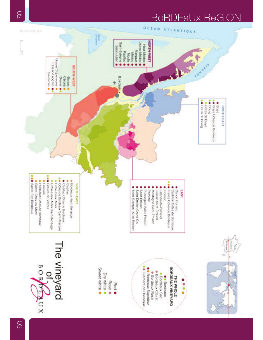# **DEaUx ReGION** R

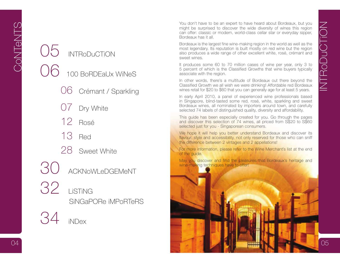- -
	- Dry White
	- 12 Rosé
	- 13 Red
	- 28 Sweet White
- 30 ACKNoWLeDGEMeNT
- 32 LiSTiNG SiNGaPORe iMPoRTeRS
	- 34 iNDex

<p>100 BoRDEalX Wilkes</p>\n<table>\n<tbody>\n<tr>\n<th>100 BoRDEalX Wilges</th>\n<th>5 percent of which is the classical growth, but you can generally age for them.</th>\n</tr>\n<tr>\n<td>100 BoRDEalX Wilges</td>\n<td>100 BoRDEalX Wilges</td>\n</tr>\n<tr>\n<td>100 BoRDEalX Wilges</td>\n<td>100 BoRDEalX Wilges</td>\n</tr>\n<tr>\n<td>100 BoRDEalX Wilges</td>\n<td>100 BoRDEalX Wilges</td>\n</tr>\n<tr>\n<td>100 BoRDEalX Wilges</td>\n<td>100 BoR Vou don't have to be an expert to have heard about Bordeaux, but you<br>
might be surprised to discover the wide diversity of wines this region<br>
can offer: classic or modern, world-class cellar star or everyday sipper,<br>
Bord

associate with the region.

In other words, there's a multitude of Bordeaux out there beyond the Classified Growth we all wish we were drinking! Affordable red Bordeaux wines retail for \$20 to \$60 that you can generally age for at least 5 years.

In early April 2010, a panel of experienced wine professionals based in Singapore, blind-tasted some red, rosé, white, sparkling and sweet Bordeaux wines, all nominated by importers around town, and carefully selected 74 labels of distinguished quality, diversity and affordability.

This guide has been especially created for you. Go through the pages and discover this selection of 74 wines, all priced from S\$20 to S\$60 selected just for you - Singaporean consumers.

We hope it will help you better understand Bordeaux and discover its flavour, style and accessibility, not only reserved for those who can sniff the difference between 2 vintages and 2 appellations!

For more information, please refer to the Wine Merchant's list at the end of the guide.

May you discover and find the pleasures that Bordeaux's heritage and wine-making techniques have to offer!

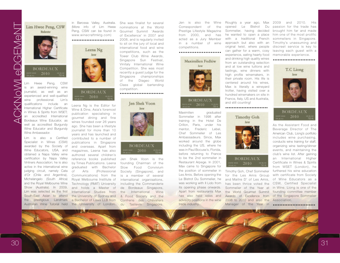ACKNoWLeDGEMeNT Leena Ng is the Editor for Wine & Dine, Asia's foremost publication specialising in gourmet dining and fine wines founded over 26 years Hwee Peng, CSW wine an award-winning journalist, as well as an experienced and well-qualified wine professional. Lim's qualifications include an International Higher Certificate in Wines & Spirits from WSET; an accredited International Bordeaux Wine Educator, as well as accredited Burgundy Wine Educator and Burgundy Wine Ambassador.

Lim is also a Certified Specialist in Wines (CSW) awarded by the Society of Wine Educators, USA, and obtained a Napa Valley wine certification by Napa Valley Vintners Association; he is also active in the international wine judging circuit, namely Cata d'Or (Chile and Argentina), Michelangelo (South Africa) and the Royal Melbourne Wine Show (Australia). In 2009, Lim was selected as the first South-East Asian to attend the prestigious Landmark in Barossa Valley, Australia. (More info of Lim Hwee Peng, CSW can be found in www.winecraftmktg.com)

## ..........................



ago. She has been a lifestyle journalist for more than 10 years and has launched and contributed to a number of publications in Singapore and overseas. Apart from magazines, Leena has also authored several children's reference books published by Times Publications. Leena graduated with Bachelor of Arts (Professional Communications) from the Royal Melbourne Institute of Technology (RMIT) University and holds a Master of International Studies from the University of Sydney and a Bachelor of Laws LLB from Australian Wine Tutorial held the University of London.

She was finalist for several nominations at the World Gourmet Summit 'Awards of Excellence' in 2007 and 2008, and is regularly invited to sit on the jury of local and international food and wine competitions, such as the Tower Club Wine Awards, Singapore Sun Festival, Vinitaly International Wine Competition. She was most recently a guest judge for the Singapore championships of the Diageo World Class global bartending competition. ..........................

# Jen Shek Voon



# **BORDEAUX** 2010

Jen Shek Voon is the founding Chairman of the Slow Food Convivium Society (Singapore), and is a member of several international organisations, including the Commanderie de Bordeaux Singapore, the International Wine & Food Society and the Confrerie des Chevaliers du Tastevin Singapore.

Jen is also the Wine Correspondent of the Prestige Lifestyle Magazine from 2000, and has acted as a Jury Member in a number of wine competitions.

### . . . . . . . . . . . . . . . . . . . . . . . .



## **BORDEAUX** 2010

Maximilien graduated Sommelier in 1998 after training in the Hotel De Crillon, Paris, under his mentor, Frederic Lebel, Chef Sommelier of Les Ambassadeurs. Since, Max worked around the globe including the US, where he was in Paul Bocuse's, Florida, before returning to France to be the 2nd sommelier in Restaurant Arpege. In 2001, Max came to Singapore for the position of sommelier in Les Amis. Before opening the Le Bistrot Du Sommelier, he was working with II Lido from its opening phase onwards. Apart from restaurants Max has also held sales and advisory positions in the wine trade industry.

 opened Le Bistrot Du Sommelier, having decided he wanted to open a place with a traditional French approach but also with an original twist, where people can gather for a warm, cosy experience, eating hearty food and drinking high quality wines from an outstanding selection and at low wine tuitions and tastings, wine dinners with high profile winemakers, in their private room. His life is centered around his wines, Max is literally a wineyard trotter, having visited over a hundred winemakers on site in France, Italy, US and Australia, and still counting!..........................



# **BORDEAUX** 2010

Timothy Goh, Chef Sommelier for the Les Amis Group and Maitre D' of Les Amis, has been thrice voted the Sommelier of the Year at in Wine. Liong is one of the the World Gourmet Summit Awards of Excellence from of the Singapore Sommelier 2008 to 2010 and also the Association. Manager of the Year in ..........................

Roughly a year ago, Max 2009 and 2010. His passion for the trade has brought him far and made him one of the most prolific sommeliers in Singapore. Timothy's unassuming and discreet service is key to leaving each guest with a memorable experience.

## ..........................

T.C Liong



## **BORDEAUX** 2010

As the Assistant Food and Beverage Director of The American Club, Liong's portfolio includes wine purchasing, conducts wine training for staff, organizing wine tasting/dinner events, and maintaining the club's wine list. After gaining an International Higher Certificate in Wines & Spirits from WSET (London), he furthered his wine education with certificate from Society of Wine Educators as a CSW, Certified Specialist founding committee member